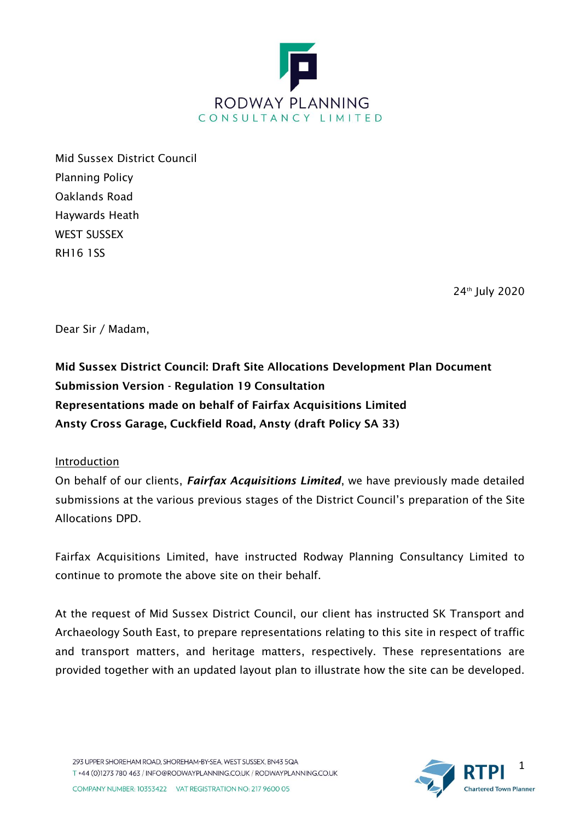

Mid Sussex District Council Planning Policy Oaklands Road Haywards Heath WEST SUSSEX RH16 1SS

24th July 2020

Dear Sir / Madam,

Mid Sussex District Council: Draft Site Allocations Development Plan Document Submission Version - Regulation 19 Consultation Representations made on behalf of Fairfax Acquisitions Limited Ansty Cross Garage, Cuckfield Road, Ansty (draft Policy SA 33)

## Introduction

On behalf of our clients, *Fairfax Acquisitions Limited*, we have previously made detailed submissions at the various previous stages of the District Council's preparation of the Site Allocations DPD.

Fairfax Acquisitions Limited, have instructed Rodway Planning Consultancy Limited to continue to promote the above site on their behalf.

At the request of Mid Sussex District Council, our client has instructed SK Transport and Archaeology South East, to prepare representations relating to this site in respect of traffic and transport matters, and heritage matters, respectively. These representations are provided together with an updated layout plan to illustrate how the site can be developed.

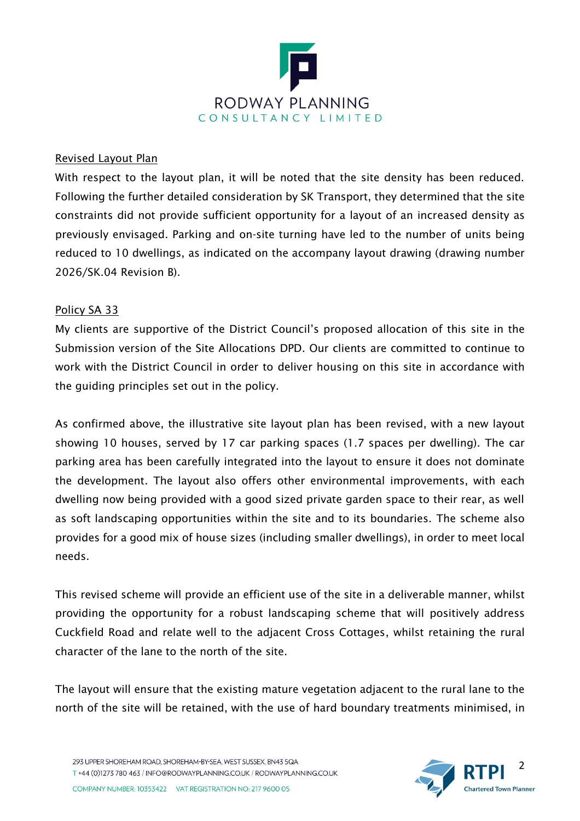

## Revised Layout Plan

With respect to the layout plan, it will be noted that the site density has been reduced. Following the further detailed consideration by SK Transport, they determined that the site constraints did not provide sufficient opportunity for a layout of an increased density as previously envisaged. Parking and on-site turning have led to the number of units being reduced to 10 dwellings, as indicated on the accompany layout drawing (drawing number 2026/SK.04 Revision B).

## Policy SA 33

My clients are supportive of the District Council's proposed allocation of this site in the Submission version of the Site Allocations DPD. Our clients are committed to continue to work with the District Council in order to deliver housing on this site in accordance with the guiding principles set out in the policy.

As confirmed above, the illustrative site layout plan has been revised, with a new layout showing 10 houses, served by 17 car parking spaces (1.7 spaces per dwelling). The car parking area has been carefully integrated into the layout to ensure it does not dominate the development. The layout also offers other environmental improvements, with each dwelling now being provided with a good sized private garden space to their rear, as well as soft landscaping opportunities within the site and to its boundaries. The scheme also provides for a good mix of house sizes (including smaller dwellings), in order to meet local needs.

This revised scheme will provide an efficient use of the site in a deliverable manner, whilst providing the opportunity for a robust landscaping scheme that will positively address Cuckfield Road and relate well to the adjacent Cross Cottages, whilst retaining the rural character of the lane to the north of the site.

The layout will ensure that the existing mature vegetation adjacent to the rural lane to the north of the site will be retained, with the use of hard boundary treatments minimised, in

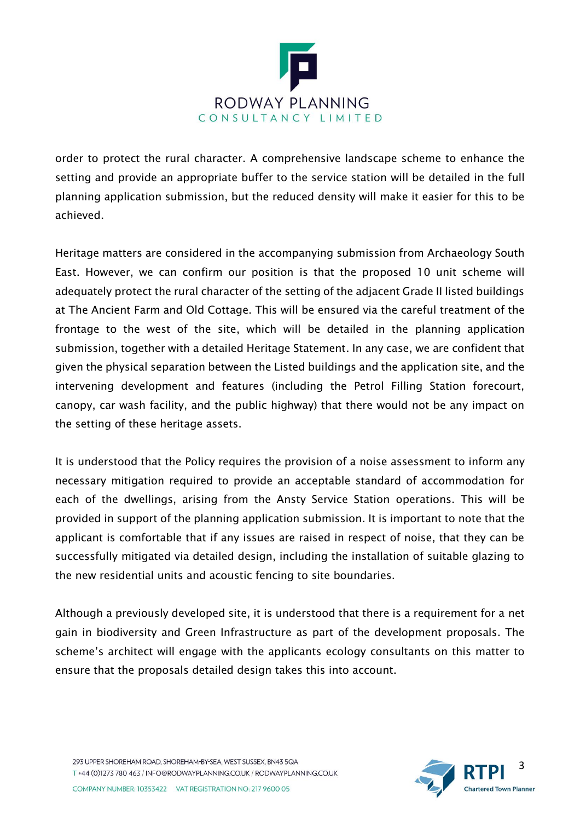

order to protect the rural character. A comprehensive landscape scheme to enhance the setting and provide an appropriate buffer to the service station will be detailed in the full planning application submission, but the reduced density will make it easier for this to be achieved.

Heritage matters are considered in the accompanying submission from Archaeology South East. However, we can confirm our position is that the proposed 10 unit scheme will adequately protect the rural character of the setting of the adjacent Grade II listed buildings at The Ancient Farm and Old Cottage. This will be ensured via the careful treatment of the frontage to the west of the site, which will be detailed in the planning application submission, together with a detailed Heritage Statement. In any case, we are confident that given the physical separation between the Listed buildings and the application site, and the intervening development and features (including the Petrol Filling Station forecourt, canopy, car wash facility, and the public highway) that there would not be any impact on the setting of these heritage assets.

It is understood that the Policy requires the provision of a noise assessment to inform any necessary mitigation required to provide an acceptable standard of accommodation for each of the dwellings, arising from the Ansty Service Station operations. This will be provided in support of the planning application submission. It is important to note that the applicant is comfortable that if any issues are raised in respect of noise, that they can be successfully mitigated via detailed design, including the installation of suitable glazing to the new residential units and acoustic fencing to site boundaries.

Although a previously developed site, it is understood that there is a requirement for a net gain in biodiversity and Green Infrastructure as part of the development proposals. The scheme's architect will engage with the applicants ecology consultants on this matter to ensure that the proposals detailed design takes this into account.